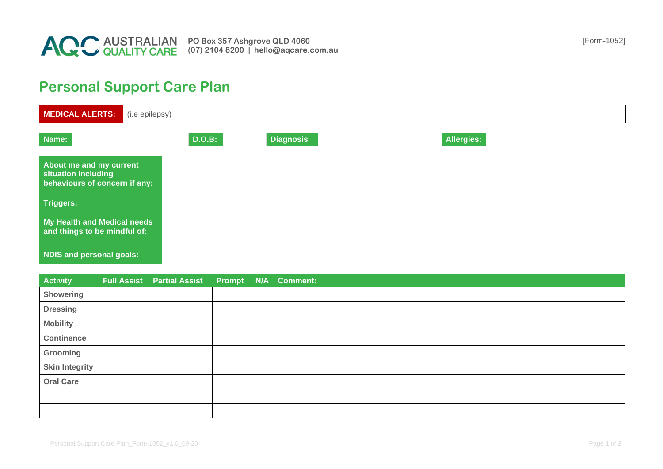

## **Personal Support Care Plan**

| MEDICAL ALERTS:                                                                 | (i.e epilepsy) |        |                   |                   |  |  |  |  |
|---------------------------------------------------------------------------------|----------------|--------|-------------------|-------------------|--|--|--|--|
| Name:                                                                           |                | D.O.B: | <b>Diagnosis:</b> | <b>Allergies:</b> |  |  |  |  |
| About me and my current<br>situation including<br>behaviours of concern if any: |                |        |                   |                   |  |  |  |  |
| <b>Triggers:</b>                                                                |                |        |                   |                   |  |  |  |  |
| My Health and Medical needs<br>and things to be mindful of:                     |                |        |                   |                   |  |  |  |  |
| <b>NDIS and personal goals:</b>                                                 |                |        |                   |                   |  |  |  |  |

| <b>Activity</b>       | Full Assist Partial Assist Prompt N/A Comment: |  |  |
|-----------------------|------------------------------------------------|--|--|
| <b>Showering</b>      |                                                |  |  |
| <b>Dressing</b>       |                                                |  |  |
| <b>Mobility</b>       |                                                |  |  |
| <b>Continence</b>     |                                                |  |  |
| Grooming              |                                                |  |  |
| <b>Skin Integrity</b> |                                                |  |  |
| <b>Oral Care</b>      |                                                |  |  |
|                       |                                                |  |  |
|                       |                                                |  |  |